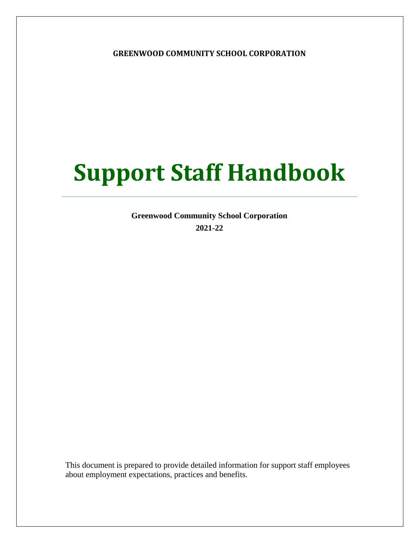**GREENWOOD COMMUNITY SCHOOL CORPORATION**

# **Support Staff Handbook**

**Greenwood Community School Corporation 2021-22**

This document is prepared to provide detailed information for support staff employees about employment expectations, practices and benefits.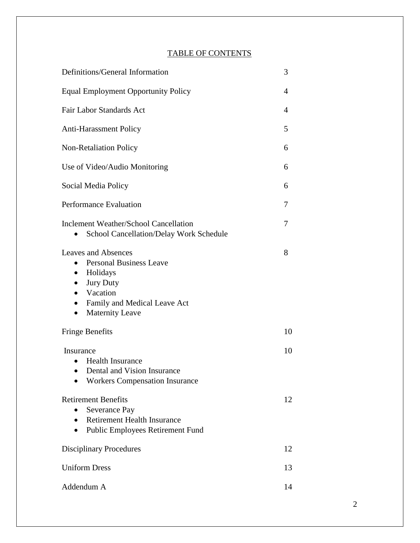### TABLE OF CONTENTS

| Definitions/General Information                                                                                                                                                                                        |    |  |  |  |  |
|------------------------------------------------------------------------------------------------------------------------------------------------------------------------------------------------------------------------|----|--|--|--|--|
| <b>Equal Employment Opportunity Policy</b>                                                                                                                                                                             |    |  |  |  |  |
| Fair Labor Standards Act                                                                                                                                                                                               |    |  |  |  |  |
| <b>Anti-Harassment Policy</b>                                                                                                                                                                                          | 5  |  |  |  |  |
| <b>Non-Retaliation Policy</b>                                                                                                                                                                                          | 6  |  |  |  |  |
| Use of Video/Audio Monitoring                                                                                                                                                                                          | 6  |  |  |  |  |
| Social Media Policy                                                                                                                                                                                                    | 6  |  |  |  |  |
| <b>Performance Evaluation</b>                                                                                                                                                                                          | 7  |  |  |  |  |
| <b>Inclement Weather/School Cancellation</b><br>School Cancellation/Delay Work Schedule                                                                                                                                | 7  |  |  |  |  |
| <b>Leaves and Absences</b><br><b>Personal Business Leave</b><br>$\bullet$<br>Holidays<br><b>Jury Duty</b><br>Vacation<br>$\bullet$<br>Family and Medical Leave Act<br>$\bullet$<br><b>Maternity Leave</b><br>$\bullet$ | 8  |  |  |  |  |
| <b>Fringe Benefits</b>                                                                                                                                                                                                 | 10 |  |  |  |  |
| Insurance<br><b>Health Insurance</b><br>Dental and Vision Insurance<br>$\bullet$<br><b>Workers Compensation Insurance</b>                                                                                              | 10 |  |  |  |  |
| <b>Retirement Benefits</b><br>Severance Pay<br><b>Retirement Health Insurance</b><br><b>Public Employees Retirement Fund</b>                                                                                           | 12 |  |  |  |  |
| <b>Disciplinary Procedures</b>                                                                                                                                                                                         | 12 |  |  |  |  |
| <b>Uniform Dress</b>                                                                                                                                                                                                   | 13 |  |  |  |  |
| Addendum A                                                                                                                                                                                                             | 14 |  |  |  |  |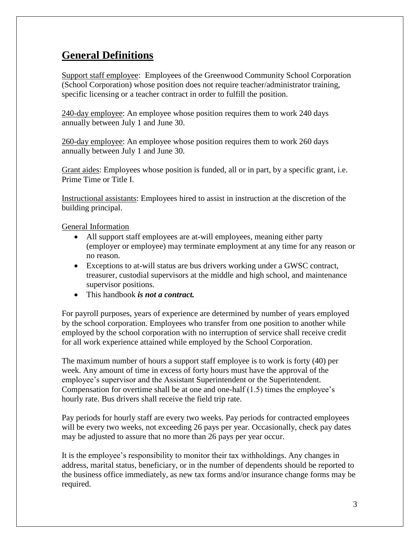### **General Definitions**

Support staff employee: Employees of the Greenwood Community School Corporation (School Corporation) whose position does not require teacher/administrator training, specific licensing or a teacher contract in order to fulfill the position.

240-day employee: An employee whose position requires them to work 240 days annually between July 1 and June 30.

260-day employee: An employee whose position requires them to work 260 days annually between July 1 and June 30.

Grant aides: Employees whose position is funded, all or in part, by a specific grant, i.e. Prime Time or Title I.

Instructional assistants: Employees hired to assist in instruction at the discretion of the building principal.

General Information

- All support staff employees are at-will employees, meaning either party (employer or employee) may terminate employment at any time for any reason or no reason.
- Exceptions to at-will status are bus drivers working under a GWSC contract, treasurer, custodial supervisors at the middle and high school, and maintenance supervisor positions.
- This handbook *is not a contract.*

For payroll purposes, years of experience are determined by number of years employed by the school corporation. Employees who transfer from one position to another while employed by the school corporation with no interruption of service shall receive credit for all work experience attained while employed by the School Corporation.

The maximum number of hours a support staff employee is to work is forty (40) per week. Any amount of time in excess of forty hours must have the approval of the employee's supervisor and the Assistant Superintendent or the Superintendent. Compensation for overtime shall be at one and one-half (1.5) times the employee's hourly rate. Bus drivers shall receive the field trip rate.

Pay periods for hourly staff are every two weeks. Pay periods for contracted employees will be every two weeks, not exceeding 26 pays per year. Occasionally, check pay dates may be adjusted to assure that no more than 26 pays per year occur.

It is the employee's responsibility to monitor their tax withholdings. Any changes in address, marital status, beneficiary, or in the number of dependents should be reported to the business office immediately, as new tax forms and/or insurance change forms may be required.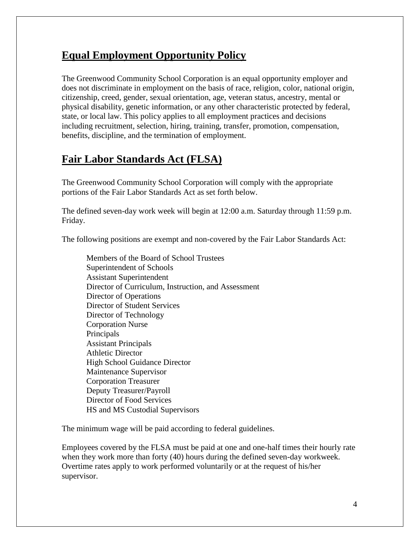### **Equal Employment Opportunity Policy**

The Greenwood Community School Corporation is an equal opportunity employer and does not discriminate in employment on the basis of race, religion, color, national origin, citizenship, creed, gender, sexual orientation, age, veteran status, ancestry, mental or physical disability, genetic information, or any other characteristic protected by federal, state, or local law. This policy applies to all employment practices and decisions including recruitment, selection, hiring, training, transfer, promotion, compensation, benefits, discipline, and the termination of employment.

### **Fair Labor Standards Act (FLSA)**

The Greenwood Community School Corporation will comply with the appropriate portions of the Fair Labor Standards Act as set forth below.

The defined seven-day work week will begin at 12:00 a.m. Saturday through 11:59 p.m. Friday.

The following positions are exempt and non-covered by the Fair Labor Standards Act:

Members of the Board of School Trustees Superintendent of Schools Assistant Superintendent Director of Curriculum, Instruction, and Assessment Director of Operations Director of Student Services Director of Technology Corporation Nurse Principals Assistant Principals Athletic Director High School Guidance Director Maintenance Supervisor Corporation Treasurer Deputy Treasurer/Payroll Director of Food Services HS and MS Custodial Supervisors

The minimum wage will be paid according to federal guidelines.

Employees covered by the FLSA must be paid at one and one-half times their hourly rate when they work more than forty (40) hours during the defined seven-day workweek. Overtime rates apply to work performed voluntarily or at the request of his/her supervisor.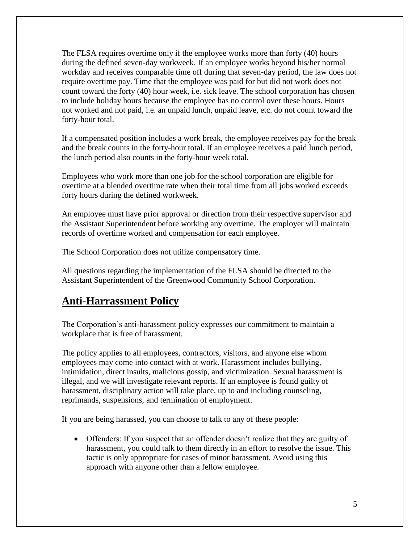The FLSA requires overtime only if the employee works more than forty (40) hours during the defined seven-day workweek. If an employee works beyond his/her normal workday and receives comparable time off during that seven-day period, the law does not require overtime pay. Time that the employee was paid for but did not work does not count toward the forty (40) hour week, i.e. sick leave. The school corporation has chosen to include holiday hours because the employee has no control over these hours. Hours not worked and not paid, i.e. an unpaid lunch, unpaid leave, etc. do not count toward the forty-hour total.

If a compensated position includes a work break, the employee receives pay for the break and the break counts in the forty-hour total. If an employee receives a paid lunch period, the lunch period also counts in the forty-hour week total.

Employees who work more than one job for the school corporation are eligible for overtime at a blended overtime rate when their total time from all jobs worked exceeds forty hours during the defined workweek.

An employee must have prior approval or direction from their respective supervisor and the Assistant Superintendent before working any overtime. The employer will maintain records of overtime worked and compensation for each employee.

The School Corporation does not utilize compensatory time.

All questions regarding the implementation of the FLSA should be directed to the Assistant Superintendent of the Greenwood Community School Corporation.

### **Anti-Harrassment Policy**

The Corporation's anti-harassment policy expresses our commitment to maintain a workplace that is free of harassment.

The policy applies to all employees, contractors, visitors, and anyone else whom employees may come into contact with at work. Harassment includes bullying, intimidation, direct insults, malicious gossip, and victimization. Sexual harassment is illegal, and we will investigate relevant reports. If an employee is found guilty of harassment, disciplinary action will take place, up to and including counseling, reprimands, suspensions, and termination of employment.

If you are being harassed, you can choose to talk to any of these people:

 Offenders: If you suspect that an offender doesn't realize that they are guilty of harassment, you could talk to them directly in an effort to resolve the issue. This tactic is only appropriate for cases of minor harassment. Avoid using this approach with anyone other than a fellow employee.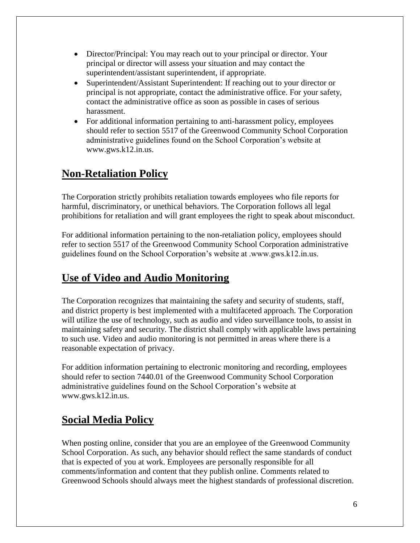- Director/Principal: You may reach out to your principal or director. Your principal or director will assess your situation and may contact the superintendent/assistant superintendent, if appropriate.
- Superintendent/Assistant Superintendent: If reaching out to your director or principal is not appropriate, contact the administrative office. For your safety, contact the administrative office as soon as possible in cases of serious harassment.
- For additional information pertaining to anti-harassment policy, employees should refer to section 5517 of the Greenwood Community School Corporation administrative guidelines found on the School Corporation's website at www.gws.k12.in.us.

### **Non-Retaliation Policy**

The Corporation strictly prohibits retaliation towards employees who file reports for harmful, discriminatory, or unethical behaviors. The Corporation follows all legal prohibitions for retaliation and will grant employees the right to speak about misconduct.

For additional information pertaining to the non-retaliation policy, employees should refer to section 5517 of the Greenwood Community School Corporation administrative guidelines found on the School Corporation's website at .www.gws.k12.in.us.

### **Use of Video and Audio Monitoring**

The Corporation recognizes that maintaining the safety and security of students, staff, and district property is best implemented with a multifaceted approach. The Corporation will utilize the use of technology, such as audio and video surveillance tools, to assist in maintaining safety and security. The district shall comply with applicable laws pertaining to such use. Video and audio monitoring is not permitted in areas where there is a reasonable expectation of privacy.

For addition information pertaining to electronic monitoring and recording, employees should refer to section 7440.01 of the Greenwood Community School Corporation administrative guidelines found on the School Corporation's website at www.gws.k12.in.us.

### **Social Media Policy**

When posting online, consider that you are an employee of the Greenwood Community School Corporation. As such, any behavior should reflect the same standards of conduct that is expected of you at work. Employees are personally responsible for all comments/information and content that they publish online. Comments related to Greenwood Schools should always meet the highest standards of professional discretion.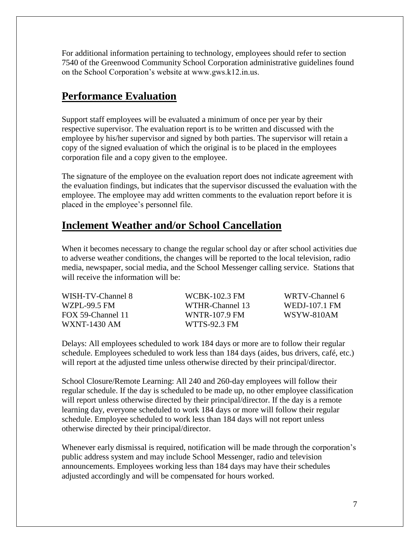For additional information pertaining to technology, employees should refer to section 7540 of the Greenwood Community School Corporation administrative guidelines found on the School Corporation's website at www.gws.k12.in.us.

### **Performance Evaluation**

Support staff employees will be evaluated a minimum of once per year by their respective supervisor. The evaluation report is to be written and discussed with the employee by his/her supervisor and signed by both parties. The supervisor will retain a copy of the signed evaluation of which the original is to be placed in the employees corporation file and a copy given to the employee.

The signature of the employee on the evaluation report does not indicate agreement with the evaluation findings, but indicates that the supervisor discussed the evaluation with the employee. The employee may add written comments to the evaluation report before it is placed in the employee's personnel file.

### **Inclement Weather and/or School Cancellation**

When it becomes necessary to change the regular school day or after school activities due to adverse weather conditions, the changes will be reported to the local television, radio media, newspaper, social media, and the School Messenger calling service. Stations that will receive the information will be:

| WISH-TV-Channel 8 | WCBK-102.3 FM   | WRTV-Channel 6 |
|-------------------|-----------------|----------------|
| WZPL-99.5 FM      | WTHR-Channel 13 | WEDJ-107.1 FM  |
| FOX 59-Channel 11 | WNTR-107.9 FM   | WSYW-810AM     |
| WXNT-1430 AM      | WTTS-92.3 FM    |                |

Delays: All employees scheduled to work 184 days or more are to follow their regular schedule. Employees scheduled to work less than 184 days (aides, bus drivers, café, etc.) will report at the adjusted time unless otherwise directed by their principal/director.

School Closure/Remote Learning: All 240 and 260-day employees will follow their regular schedule. If the day is scheduled to be made up, no other employee classification will report unless otherwise directed by their principal/director. If the day is a remote learning day, everyone scheduled to work 184 days or more will follow their regular schedule. Employee scheduled to work less than 184 days will not report unless otherwise directed by their principal/director.

Whenever early dismissal is required, notification will be made through the corporation's public address system and may include School Messenger, radio and television announcements. Employees working less than 184 days may have their schedules adjusted accordingly and will be compensated for hours worked.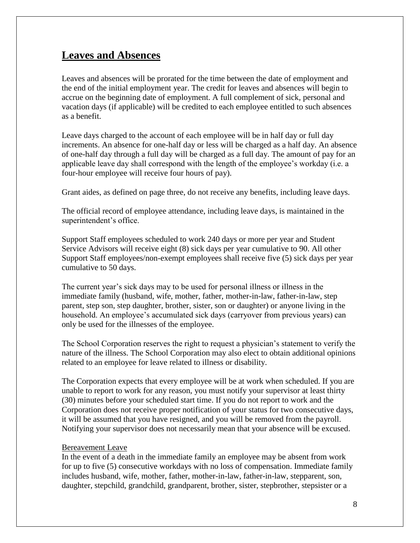### **Leaves and Absences**

Leaves and absences will be prorated for the time between the date of employment and the end of the initial employment year. The credit for leaves and absences will begin to accrue on the beginning date of employment. A full complement of sick, personal and vacation days (if applicable) will be credited to each employee entitled to such absences as a benefit.

Leave days charged to the account of each employee will be in half day or full day increments. An absence for one-half day or less will be charged as a half day. An absence of one-half day through a full day will be charged as a full day. The amount of pay for an applicable leave day shall correspond with the length of the employee's workday (i.e. a four-hour employee will receive four hours of pay).

Grant aides, as defined on page three, do not receive any benefits, including leave days.

The official record of employee attendance, including leave days, is maintained in the superintendent's office.

Support Staff employees scheduled to work 240 days or more per year and Student Service Advisors will receive eight (8) sick days per year cumulative to 90. All other Support Staff employees/non-exempt employees shall receive five (5) sick days per year cumulative to 50 days.

The current year's sick days may to be used for personal illness or illness in the immediate family (husband, wife, mother, father, mother-in-law, father-in-law, step parent, step son, step daughter, brother, sister, son or daughter) or anyone living in the household. An employee's accumulated sick days (carryover from previous years) can only be used for the illnesses of the employee.

The School Corporation reserves the right to request a physician's statement to verify the nature of the illness. The School Corporation may also elect to obtain additional opinions related to an employee for leave related to illness or disability.

The Corporation expects that every employee will be at work when scheduled. If you are unable to report to work for any reason, you must notify your supervisor at least thirty (30) minutes before your scheduled start time. If you do not report to work and the Corporation does not receive proper notification of your status for two consecutive days, it will be assumed that you have resigned, and you will be removed from the payroll. Notifying your supervisor does not necessarily mean that your absence will be excused.

#### Bereavement Leave

In the event of a death in the immediate family an employee may be absent from work for up to five (5) consecutive workdays with no loss of compensation. Immediate family includes husband, wife, mother, father, mother-in-law, father-in-law, stepparent, son, daughter, stepchild, grandchild, grandparent, brother, sister, stepbrother, stepsister or a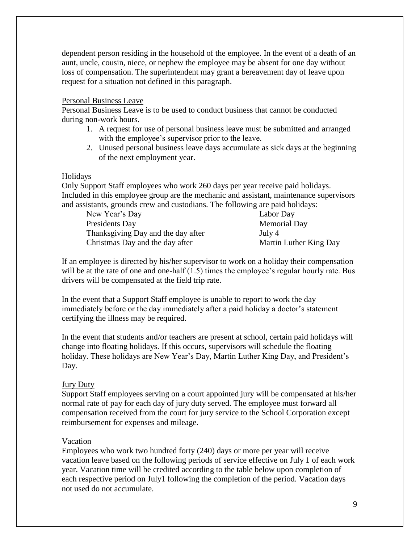dependent person residing in the household of the employee. In the event of a death of an aunt, uncle, cousin, niece, or nephew the employee may be absent for one day without loss of compensation. The superintendent may grant a bereavement day of leave upon request for a situation not defined in this paragraph.

#### Personal Business Leave

Personal Business Leave is to be used to conduct business that cannot be conducted during non-work hours.

- 1. A request for use of personal business leave must be submitted and arranged with the employee's supervisor prior to the leave.
- 2. Unused personal business leave days accumulate as sick days at the beginning of the next employment year.

#### Holidays

Only Support Staff employees who work 260 days per year receive paid holidays. Included in this employee group are the mechanic and assistant, maintenance supervisors and assistants, grounds crew and custodians. The following are paid holidays:

| New Year's Day                     | Labor Day              |
|------------------------------------|------------------------|
| Presidents Day                     | <b>Memorial Day</b>    |
| Thanksgiving Day and the day after | July 4                 |
| Christmas Day and the day after    | Martin Luther King Day |

If an employee is directed by his/her supervisor to work on a holiday their compensation will be at the rate of one and one-half  $(1.5)$  times the employee's regular hourly rate. Bus drivers will be compensated at the field trip rate.

In the event that a Support Staff employee is unable to report to work the day immediately before or the day immediately after a paid holiday a doctor's statement certifying the illness may be required.

In the event that students and/or teachers are present at school, certain paid holidays will change into floating holidays. If this occurs, supervisors will schedule the floating holiday. These holidays are New Year's Day, Martin Luther King Day, and President's Day.

#### Jury Duty

Support Staff employees serving on a court appointed jury will be compensated at his/her normal rate of pay for each day of jury duty served. The employee must forward all compensation received from the court for jury service to the School Corporation except reimbursement for expenses and mileage.

#### Vacation

Employees who work two hundred forty (240) days or more per year will receive vacation leave based on the following periods of service effective on July 1 of each work year. Vacation time will be credited according to the table below upon completion of each respective period on July1 following the completion of the period. Vacation days not used do not accumulate.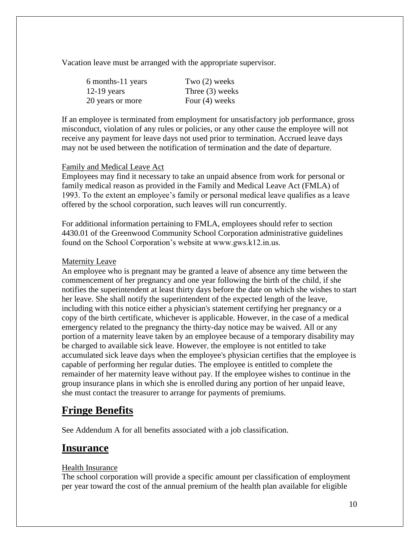Vacation leave must be arranged with the appropriate supervisor.

| 6 months-11 years | Two $(2)$ weeks   |
|-------------------|-------------------|
| $12-19$ years     | Three $(3)$ weeks |
| 20 years or more  | Four $(4)$ weeks  |

If an employee is terminated from employment for unsatisfactory job performance, gross misconduct, violation of any rules or policies, or any other cause the employee will not receive any payment for leave days not used prior to termination. Accrued leave days may not be used between the notification of termination and the date of departure.

#### Family and Medical Leave Act

Employees may find it necessary to take an unpaid absence from work for personal or family medical reason as provided in the Family and Medical Leave Act (FMLA) of 1993. To the extent an employee's family or personal medical leave qualifies as a leave offered by the school corporation, such leaves will run concurrently.

For additional information pertaining to FMLA, employees should refer to section 4430.01 of the Greenwood Community School Corporation administrative guidelines found on the School Corporation's website at www.gws.k12.in.us.

#### Maternity Leave

An employee who is pregnant may be granted a leave of absence any time between the commencement of her pregnancy and one year following the birth of the child, if she notifies the superintendent at least thirty days before the date on which she wishes to start her leave. She shall notify the superintendent of the expected length of the leave, including with this notice either a physician's statement certifying her pregnancy or a copy of the birth certificate, whichever is applicable. However, in the case of a medical emergency related to the pregnancy the thirty-day notice may be waived. All or any portion of a maternity leave taken by an employee because of a temporary disability may be charged to available sick leave. However, the employee is not entitled to take accumulated sick leave days when the employee's physician certifies that the employee is capable of performing her regular duties. The employee is entitled to complete the remainder of her maternity leave without pay. If the employee wishes to continue in the group insurance plans in which she is enrolled during any portion of her unpaid leave, she must contact the treasurer to arrange for payments of premiums.

### **Fringe Benefits**

See Addendum A for all benefits associated with a job classification.

#### **Insurance**

#### Health Insurance

The school corporation will provide a specific amount per classification of employment per year toward the cost of the annual premium of the health plan available for eligible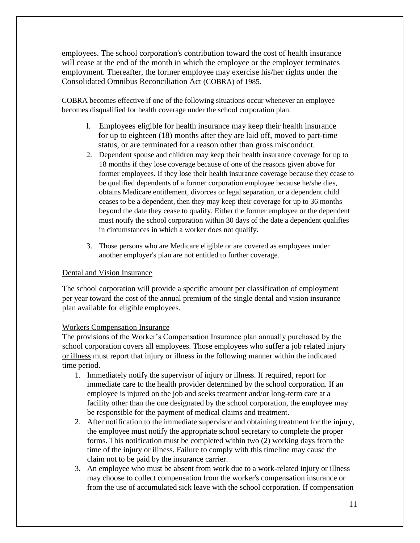employees. The school corporation's contribution toward the cost of health insurance will cease at the end of the month in which the employee or the employer terminates employment. Thereafter, the former employee may exercise his/her rights under the Consolidated Omnibus Reconciliation Act (COBRA) of 1985.

COBRA becomes effective if one of the following situations occur whenever an employee becomes disqualified for health coverage under the school corporation plan.

- l. Employees eligible for health insurance may keep their health insurance for up to eighteen (18) months after they are laid off, moved to part-time status, or are terminated for a reason other than gross misconduct.
- 2. Dependent spouse and children may keep their health insurance coverage for up to 18 months if they lose coverage because of one of the reasons given above for former employees. If they lose their health insurance coverage because they cease to be qualified dependents of a former corporation employee because he/she dies, obtains Medicare entitlement, divorces or legal separation, or a dependent child ceases to be a dependent, then they may keep their coverage for up to 36 months beyond the date they cease to qualify. Either the former employee or the dependent must notify the school corporation within 30 days of the date a dependent qualifies in circumstances in which a worker does not qualify.
- 3. Those persons who are Medicare eligible or are covered as employees under another employer's plan are not entitled to further coverage.

#### Dental and Vision Insurance

The school corporation will provide a specific amount per classification of employment per year toward the cost of the annual premium of the single dental and vision insurance plan available for eligible employees.

#### Workers Compensation Insurance

The provisions of the Worker's Compensation Insurance plan annually purchased by the school corporation covers all employees. Those employees who suffer a job related injury or illness must report that injury or illness in the following manner within the indicated time period.

- 1. Immediately notify the supervisor of injury or illness. If required, report for immediate care to the health provider determined by the school corporation. If an employee is injured on the job and seeks treatment and/or long-term care at a facility other than the one designated by the school corporation, the employee may be responsible for the payment of medical claims and treatment.
- 2. After notification to the immediate supervisor and obtaining treatment for the injury, the employee must notify the appropriate school secretary to complete the proper forms. This notification must be completed within two (2) working days from the time of the injury or illness. Failure to comply with this timeline may cause the claim not to be paid by the insurance carrier.
- 3. An employee who must be absent from work due to a work-related injury or illness may choose to collect compensation from the worker's compensation insurance or from the use of accumulated sick leave with the school corporation. If compensation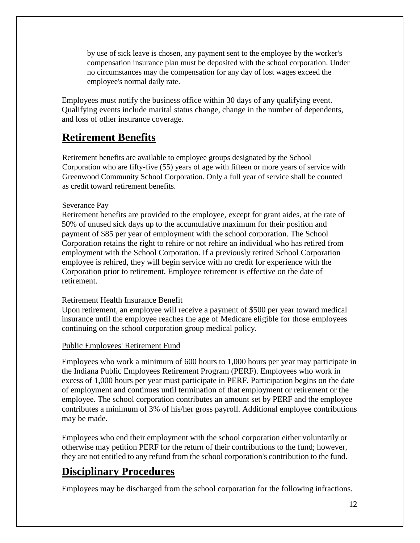by use of sick leave is chosen, any payment sent to the employee by the worker's compensation insurance plan must be deposited with the school corporation. Under no circumstances may the compensation for any day of lost wages exceed the employee's normal daily rate.

Employees must notify the business office within 30 days of any qualifying event. Qualifying events include marital status change, change in the number of dependents, and loss of other insurance coverage.

### **Retirement Benefits**

Retirement benefits are available to employee groups designated by the School Corporation who are fifty-five (55) years of age with fifteen or more years of service with Greenwood Community School Corporation. Only a full year of service shall be counted as credit toward retirement benefits.

#### Severance Pay

Retirement benefits are provided to the employee, except for grant aides, at the rate of 50% of unused sick days up to the accumulative maximum for their position and payment of \$85 per year of employment with the school corporation. The School Corporation retains the right to rehire or not rehire an individual who has retired from employment with the School Corporation. If a previously retired School Corporation employee is rehired, they will begin service with no credit for experience with the Corporation prior to retirement. Employee retirement is effective on the date of retirement.

#### Retirement Health Insurance Benefit

Upon retirement, an employee will receive a payment of \$500 per year toward medical insurance until the employee reaches the age of Medicare eligible for those employees continuing on the school corporation group medical policy.

#### Public Employees' Retirement Fund

Employees who work a minimum of 600 hours to 1,000 hours per year may participate in the Indiana Public Employees Retirement Program (PERF). Employees who work in excess of 1,000 hours per year must participate in PERF. Participation begins on the date of employment and continues until termination of that employment or retirement or the employee. The school corporation contributes an amount set by PERF and the employee contributes a minimum of 3% of his/her gross payroll. Additional employee contributions may be made.

Employees who end their employment with the school corporation either voluntarily or otherwise may petition PERF for the return of their contributions to the fund; however, they are not entitled to any refund from the school corporation's contribution to the fund.

### **Disciplinary Procedures**

Employees may be discharged from the school corporation for the following infractions.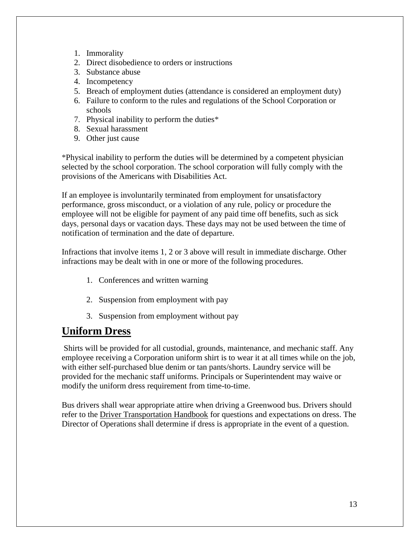- 1. Immorality
- 2. Direct disobedience to orders or instructions
- 3. Substance abuse
- 4. Incompetency
- 5. Breach of employment duties (attendance is considered an employment duty)
- 6. Failure to conform to the rules and regulations of the School Corporation or schools
- 7. Physical inability to perform the duties\*
- 8. Sexual harassment
- 9. Other just cause

\*Physical inability to perform the duties will be determined by a competent physician selected by the school corporation. The school corporation will fully comply with the provisions of the Americans with Disabilities Act.

If an employee is involuntarily terminated from employment for unsatisfactory performance, gross misconduct, or a violation of any rule, policy or procedure the employee will not be eligible for payment of any paid time off benefits, such as sick days, personal days or vacation days. These days may not be used between the time of notification of termination and the date of departure.

Infractions that involve items 1, 2 or 3 above will result in immediate discharge. Other infractions may be dealt with in one or more of the following procedures.

- 1. Conferences and written warning
- 2. Suspension from employment with pay
- 3. Suspension from employment without pay

### **Uniform Dress**

Shirts will be provided for all custodial, grounds, maintenance, and mechanic staff. Any employee receiving a Corporation uniform shirt is to wear it at all times while on the job, with either self-purchased blue denim or tan pants/shorts. Laundry service will be provided for the mechanic staff uniforms. Principals or Superintendent may waive or modify the uniform dress requirement from time-to-time.

Bus drivers shall wear appropriate attire when driving a Greenwood bus. Drivers should refer to the Driver Transportation Handbook for questions and expectations on dress. The Director of Operations shall determine if dress is appropriate in the event of a question.